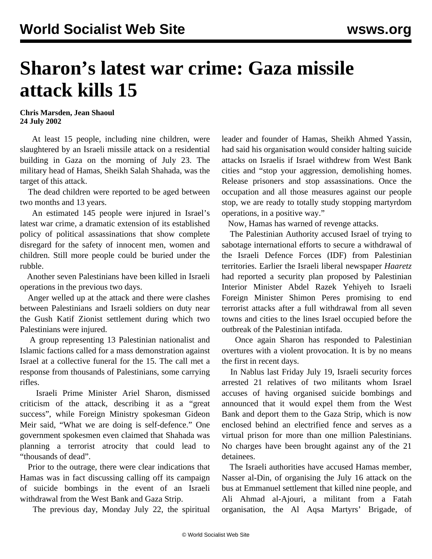## **Sharon's latest war crime: Gaza missile attack kills 15**

## **Chris Marsden, Jean Shaoul 24 July 2002**

 At least 15 people, including nine children, were slaughtered by an Israeli missile attack on a residential building in Gaza on the morning of July 23. The military head of Hamas, Sheikh Salah Shahada, was the target of this attack.

 The dead children were reported to be aged between two months and 13 years.

 An estimated 145 people were injured in Israel's latest war crime, a dramatic extension of its established policy of political assassinations that show complete disregard for the safety of innocent men, women and children. Still more people could be buried under the rubble.

 Another seven Palestinians have been killed in Israeli operations in the previous two days.

 Anger welled up at the attack and there were clashes between Palestinians and Israeli soldiers on duty near the Gush Katif Zionist settlement during which two Palestinians were injured.

 A group representing 13 Palestinian nationalist and Islamic factions called for a mass demonstration against Israel at a collective funeral for the 15. The call met a response from thousands of Palestinians, some carrying rifles.

 Israeli Prime Minister Ariel Sharon, dismissed criticism of the attack, describing it as a "great success", while Foreign Ministry spokesman Gideon Meir said, "What we are doing is self-defence." One government spokesmen even claimed that Shahada was planning a terrorist atrocity that could lead to "thousands of dead".

 Prior to the outrage, there were clear indications that Hamas was in fact discussing calling off its campaign of suicide bombings in the event of an Israeli withdrawal from the West Bank and Gaza Strip.

The previous day, Monday July 22, the spiritual

leader and founder of Hamas, Sheikh Ahmed Yassin, had said his organisation would consider halting suicide attacks on Israelis if Israel withdrew from West Bank cities and "stop your aggression, demolishing homes. Release prisoners and stop assassinations. Once the occupation and all those measures against our people stop, we are ready to totally study stopping martyrdom operations, in a positive way."

Now, Hamas has warned of revenge attacks.

 The Palestinian Authority accused Israel of trying to sabotage international efforts to secure a withdrawal of the Israeli Defence Forces (IDF) from Palestinian territories. Earlier the Israeli liberal newspaper *Haaretz* had reported a security plan proposed by Palestinian Interior Minister Abdel Razek Yehiyeh to Israeli Foreign Minister Shimon Peres promising to end terrorist attacks after a full withdrawal from all seven towns and cities to the lines Israel occupied before the outbreak of the Palestinian intifada.

 Once again Sharon has responded to Palestinian overtures with a violent provocation. It is by no means the first in recent days.

 In Nablus last Friday July 19, Israeli security forces arrested 21 relatives of two militants whom Israel accuses of having organised suicide bombings and announced that it would expel them from the West Bank and deport them to the Gaza Strip, which is now enclosed behind an electrified fence and serves as a virtual prison for more than one million Palestinians. No charges have been brought against any of the 21 detainees.

 The Israeli authorities have accused Hamas member, Nasser al-Din, of organising the July 16 attack on the bus at Emmanuel settlement that killed nine people, and Ali Ahmad al-Ajouri, a militant from a Fatah organisation, the Al Aqsa Martyrs' Brigade, of